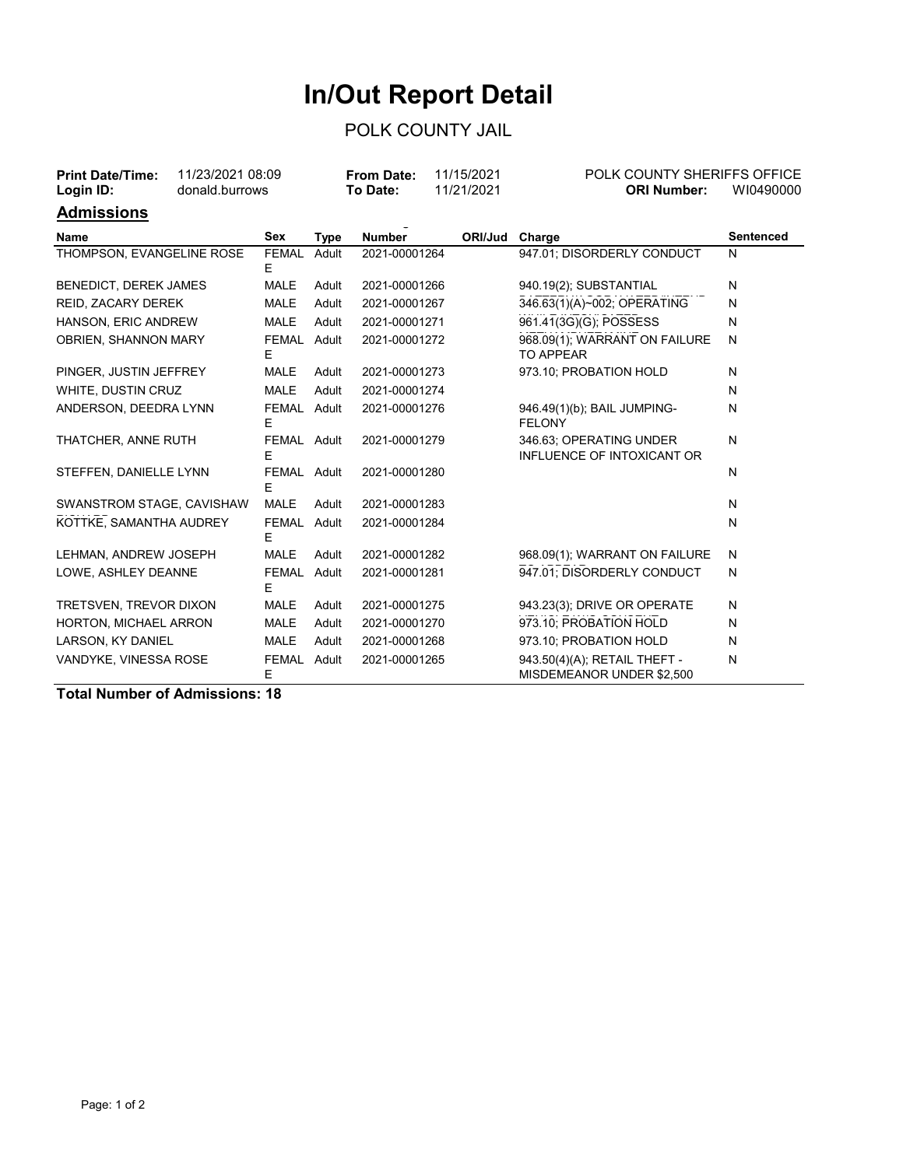## **In/Out Report Detail**

## POLK COUNTY JAIL

| 11/23/2021 08:09<br><b>Print Date/Time:</b><br>donald.burrows<br>Login ID: |  |                   |             | <b>From Date:</b><br>To Date: | 11/15/2021<br>11/21/2021 | POLK COUNTY SHERIFFS OFFICE<br><b>ORI Number:</b>         | WI0490000        |  |
|----------------------------------------------------------------------------|--|-------------------|-------------|-------------------------------|--------------------------|-----------------------------------------------------------|------------------|--|
| <u>Admissions</u>                                                          |  |                   |             |                               |                          |                                                           |                  |  |
| Name                                                                       |  | Sex               | <b>Type</b> | <b>Number</b>                 | ORI/Jud Charge           |                                                           | <b>Sentenced</b> |  |
| THOMPSON, EVANGELINE ROSE                                                  |  | <b>FEMAL</b><br>Е | Adult       | 2021-00001264                 |                          | 947.01; DISORDERLY CONDUCT                                | N                |  |
| <b>BENEDICT, DEREK JAMES</b>                                               |  | <b>MALE</b>       | Adult       | 2021-00001266                 |                          | 940.19(2); SUBSTANTIAL                                    | N                |  |
| REID, ZACARY DEREK                                                         |  | <b>MALE</b>       | Adult       | 2021-00001267                 |                          | 346.63(1)(A)~002; OPERATING                               | N                |  |
| HANSON, ERIC ANDREW                                                        |  | <b>MALE</b>       | Adult       | 2021-00001271                 |                          | 961.41(3G)(G); POSSESS                                    | N                |  |
| OBRIEN, SHANNON MARY                                                       |  | FEMAL Adult<br>Е  |             | 2021-00001272                 |                          | 968.09(1); WARRANT ON FAILURE<br><b>TO APPEAR</b>         | N                |  |
| PINGER, JUSTIN JEFFREY                                                     |  | <b>MALE</b>       | Adult       | 2021-00001273                 |                          | 973.10; PROBATION HOLD                                    | N                |  |
| WHITE, DUSTIN CRUZ                                                         |  | <b>MALE</b>       | Adult       | 2021-00001274                 |                          |                                                           | N                |  |
| ANDERSON, DEEDRA LYNN                                                      |  | FEMAL Adult<br>Е  |             | 2021-00001276                 |                          | 946.49(1)(b); BAIL JUMPING-<br><b>FELONY</b>              | N                |  |
| THATCHER, ANNE RUTH                                                        |  | FEMAL Adult<br>Е  |             | 2021-00001279                 |                          | 346.63; OPERATING UNDER<br>INFLUENCE OF INTOXICANT OR     | N                |  |
| STEFFEN, DANIELLE LYNN                                                     |  | FEMAL Adult<br>E  |             | 2021-00001280                 |                          |                                                           | N                |  |
| SWANSTROM STAGE, CAVISHAW                                                  |  | <b>MALE</b>       | Adult       | 2021-00001283                 |                          |                                                           | N                |  |
| KOTTKE, SAMANTHA AUDREY                                                    |  | FEMAL Adult<br>Е  |             | 2021-00001284                 |                          |                                                           | N                |  |
| LEHMAN, ANDREW JOSEPH                                                      |  | <b>MALE</b>       | Adult       | 2021-00001282                 |                          | 968.09(1); WARRANT ON FAILURE                             | N                |  |
| LOWE, ASHLEY DEANNE                                                        |  | FEMAL Adult<br>F  |             | 2021-00001281                 |                          | 947.01: DISORDERLY CONDUCT                                | N                |  |
| TRETSVEN, TREVOR DIXON                                                     |  | <b>MALE</b>       | Adult       | 2021-00001275                 |                          | 943.23(3); DRIVE OR OPERATE                               | N                |  |
| HORTON, MICHAEL ARRON                                                      |  | <b>MALE</b>       | Adult       | 2021-00001270                 |                          | 973.10; PROBATION HOLD                                    | N                |  |
| LARSON, KY DANIEL                                                          |  | <b>MALE</b>       | Adult       | 2021-00001268                 |                          | 973.10; PROBATION HOLD                                    | N                |  |
| VANDYKE, VINESSA ROSE                                                      |  | <b>FEMAL</b><br>E | Adult       | 2021-00001265                 |                          | 943.50(4)(A); RETAIL THEFT -<br>MISDEMEANOR UNDER \$2,500 | N                |  |

**Total Number of Admissions: 18**